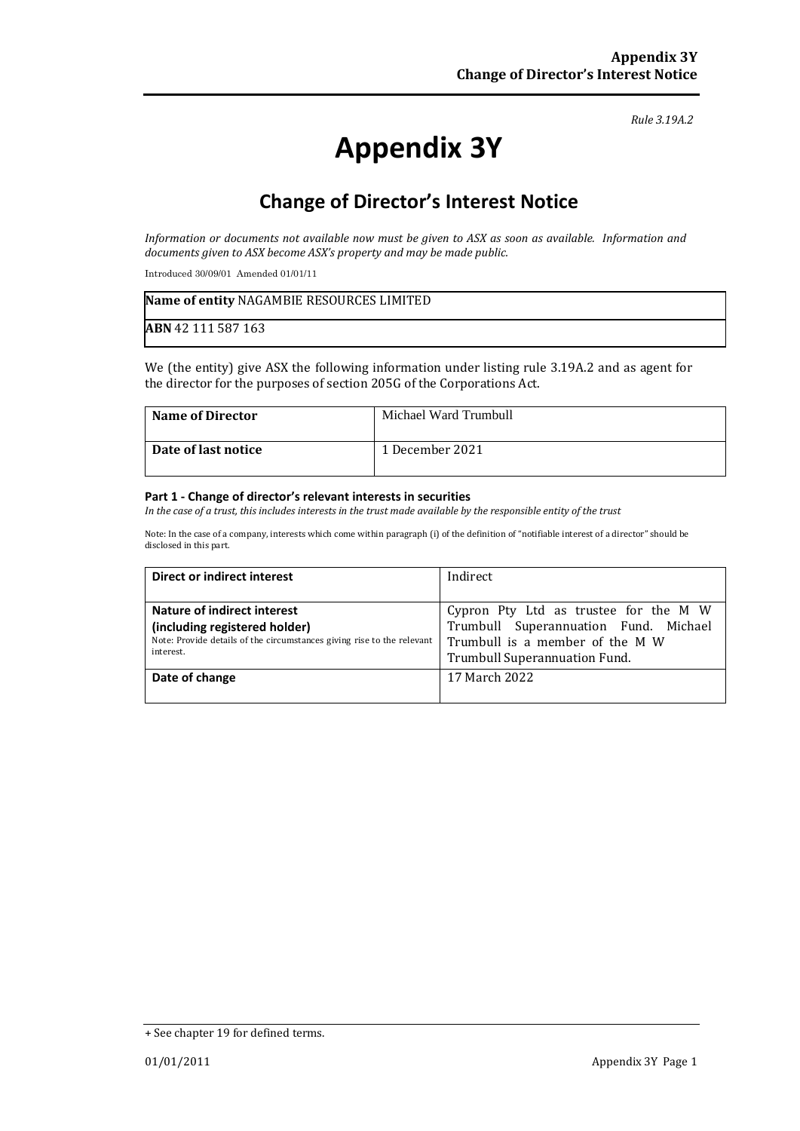#### *Rule 3.19A.2*

# **Appendix 3Y**

# **Change of Director's Interest Notice**

*Information or documents not available now must be given to ASX as soon as available. Information and documents given to ASX become ASX's property and may be made public.*

Introduced 30/09/01 Amended 01/01/11

| Name of entity NAGAMBIE RESOURCES LIMITED |  |
|-------------------------------------------|--|
| <b>ABN</b> 42 111 587 163                 |  |

We (the entity) give ASX the following information under listing rule 3.19A.2 and as agent for the director for the purposes of section 205G of the Corporations Act.

| <b>Name of Director</b> | Michael Ward Trumbull |
|-------------------------|-----------------------|
| Date of last notice     | 1 December 2021       |

#### **Part 1 - Change of director's relevant interests in securities**

*In the case of a trust, this includes interests in the trust made available by the responsible entity of the trust*

Note: In the case of a company, interests which come within paragraph (i) of the definition of "notifiable interest of a director" should be disclosed in this part.

| Direct or indirect interest                                            | Indirect                              |
|------------------------------------------------------------------------|---------------------------------------|
|                                                                        |                                       |
| Nature of indirect interest                                            | Cypron Pty Ltd as trustee for the M W |
| (including registered holder)                                          | Trumbull Superannuation Fund. Michael |
| Note: Provide details of the circumstances giving rise to the relevant | Trumbull is a member of the M W       |
| interest.                                                              | Trumbull Superannuation Fund.         |
| Date of change                                                         | 17 March 2022                         |
|                                                                        |                                       |

<sup>+</sup> See chapter 19 for defined terms.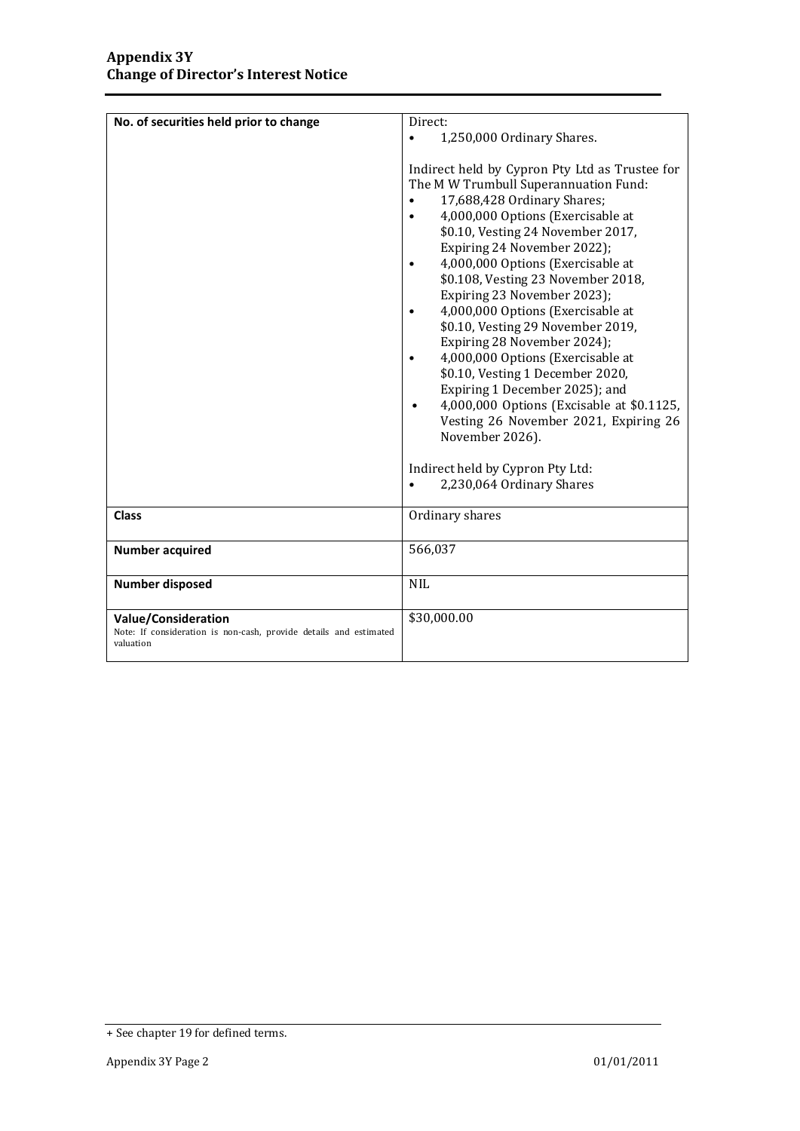| No. of securities held prior to change                                                                       | Direct:                                                                                                                                                                                                                                                                                                                                                                                                                                                                                                                                                                                                                                                                                                                                                                       |
|--------------------------------------------------------------------------------------------------------------|-------------------------------------------------------------------------------------------------------------------------------------------------------------------------------------------------------------------------------------------------------------------------------------------------------------------------------------------------------------------------------------------------------------------------------------------------------------------------------------------------------------------------------------------------------------------------------------------------------------------------------------------------------------------------------------------------------------------------------------------------------------------------------|
|                                                                                                              | 1,250,000 Ordinary Shares.<br>$\bullet$                                                                                                                                                                                                                                                                                                                                                                                                                                                                                                                                                                                                                                                                                                                                       |
|                                                                                                              |                                                                                                                                                                                                                                                                                                                                                                                                                                                                                                                                                                                                                                                                                                                                                                               |
|                                                                                                              | Indirect held by Cypron Pty Ltd as Trustee for<br>The MW Trumbull Superannuation Fund:<br>17,688,428 Ordinary Shares;<br>4,000,000 Options (Exercisable at<br>\$0.10, Vesting 24 November 2017,<br>Expiring 24 November 2022);<br>4,000,000 Options (Exercisable at<br>\$0.108, Vesting 23 November 2018,<br>Expiring 23 November 2023);<br>4,000,000 Options (Exercisable at<br>$\bullet$<br>\$0.10, Vesting 29 November 2019,<br>Expiring 28 November 2024);<br>4,000,000 Options (Exercisable at<br>$\bullet$<br>\$0.10, Vesting 1 December 2020,<br>Expiring 1 December 2025); and<br>4,000,000 Options (Excisable at \$0.1125,<br>Vesting 26 November 2021, Expiring 26<br>November 2026).<br>Indirect held by Cypron Pty Ltd:<br>2,230,064 Ordinary Shares<br>$\bullet$ |
| <b>Class</b>                                                                                                 | Ordinary shares                                                                                                                                                                                                                                                                                                                                                                                                                                                                                                                                                                                                                                                                                                                                                               |
|                                                                                                              |                                                                                                                                                                                                                                                                                                                                                                                                                                                                                                                                                                                                                                                                                                                                                                               |
| <b>Number acquired</b>                                                                                       | 566,037                                                                                                                                                                                                                                                                                                                                                                                                                                                                                                                                                                                                                                                                                                                                                                       |
| <b>Number disposed</b>                                                                                       | <b>NIL</b>                                                                                                                                                                                                                                                                                                                                                                                                                                                                                                                                                                                                                                                                                                                                                                    |
| <b>Value/Consideration</b><br>Note: If consideration is non-cash, provide details and estimated<br>valuation | \$30,000.00                                                                                                                                                                                                                                                                                                                                                                                                                                                                                                                                                                                                                                                                                                                                                                   |

<sup>+</sup> See chapter 19 for defined terms.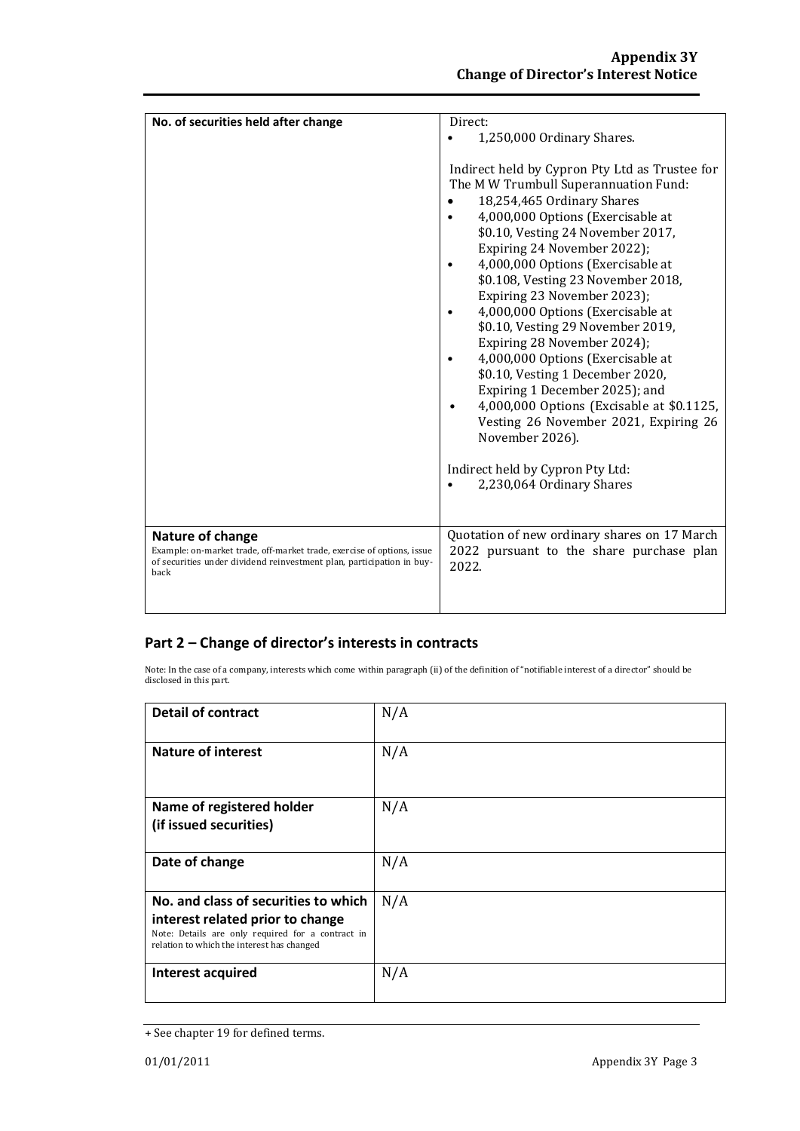| No. of securities held after change                                                                                                                                         | Direct:                                                                                                                                                                                                                                                                                                                                                                                                                                                                                                                                                                                                                                                                                                                                                          |
|-----------------------------------------------------------------------------------------------------------------------------------------------------------------------------|------------------------------------------------------------------------------------------------------------------------------------------------------------------------------------------------------------------------------------------------------------------------------------------------------------------------------------------------------------------------------------------------------------------------------------------------------------------------------------------------------------------------------------------------------------------------------------------------------------------------------------------------------------------------------------------------------------------------------------------------------------------|
|                                                                                                                                                                             |                                                                                                                                                                                                                                                                                                                                                                                                                                                                                                                                                                                                                                                                                                                                                                  |
|                                                                                                                                                                             | 1,250,000 Ordinary Shares.<br>Indirect held by Cypron Pty Ltd as Trustee for<br>The MW Trumbull Superannuation Fund:<br>18,254,465 Ordinary Shares<br>4,000,000 Options (Exercisable at<br>\$0.10, Vesting 24 November 2017,<br>Expiring 24 November 2022);<br>4,000,000 Options (Exercisable at<br>$\bullet$<br>\$0.108, Vesting 23 November 2018,<br>Expiring 23 November 2023);<br>4,000,000 Options (Exercisable at<br>\$0.10, Vesting 29 November 2019,<br>Expiring 28 November 2024);<br>4,000,000 Options (Exercisable at<br>$\bullet$<br>\$0.10, Vesting 1 December 2020,<br>Expiring 1 December 2025); and<br>4,000,000 Options (Excisable at \$0.1125,<br>Vesting 26 November 2021, Expiring 26<br>November 2026).<br>Indirect held by Cypron Pty Ltd: |
|                                                                                                                                                                             | 2,230,064 Ordinary Shares                                                                                                                                                                                                                                                                                                                                                                                                                                                                                                                                                                                                                                                                                                                                        |
|                                                                                                                                                                             |                                                                                                                                                                                                                                                                                                                                                                                                                                                                                                                                                                                                                                                                                                                                                                  |
|                                                                                                                                                                             |                                                                                                                                                                                                                                                                                                                                                                                                                                                                                                                                                                                                                                                                                                                                                                  |
| Nature of change<br>Example: on-market trade, off-market trade, exercise of options, issue<br>of securities under dividend reinvestment plan, participation in buy-<br>back | Quotation of new ordinary shares on 17 March<br>2022 pursuant to the share purchase plan<br>2022.                                                                                                                                                                                                                                                                                                                                                                                                                                                                                                                                                                                                                                                                |
|                                                                                                                                                                             |                                                                                                                                                                                                                                                                                                                                                                                                                                                                                                                                                                                                                                                                                                                                                                  |

## **Part 2 – Change of director's interests in contracts**

Note: In the case of a company, interests which come within paragraph (ii) of the definition of "notifiable interest of a director" should be disclosed in this part.

| <b>Detail of contract</b>                                                                                                                                                   | N/A |
|-----------------------------------------------------------------------------------------------------------------------------------------------------------------------------|-----|
| <b>Nature of interest</b>                                                                                                                                                   | N/A |
| Name of registered holder<br>(if issued securities)                                                                                                                         | N/A |
| Date of change                                                                                                                                                              | N/A |
| No. and class of securities to which<br>interest related prior to change<br>Note: Details are only required for a contract in<br>relation to which the interest has changed | N/A |
| Interest acquired                                                                                                                                                           | N/A |

<sup>+</sup> See chapter 19 for defined terms.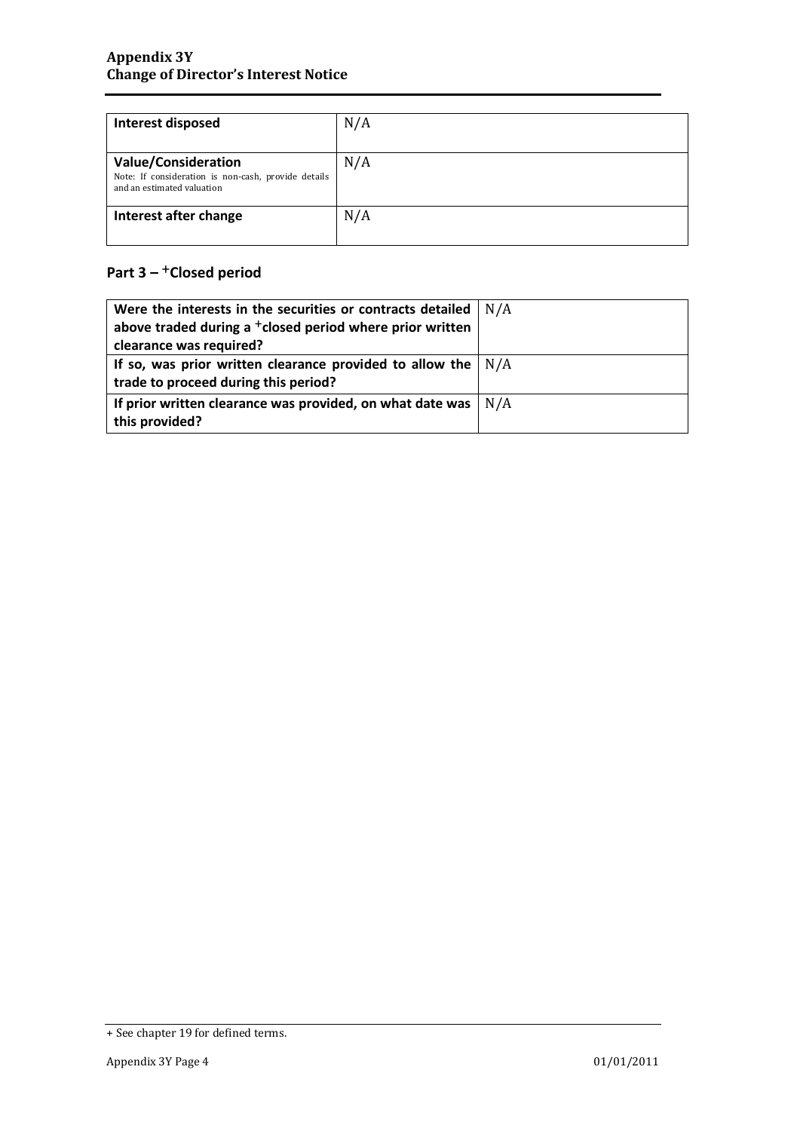| Interest disposed                                                                                               | N/A |
|-----------------------------------------------------------------------------------------------------------------|-----|
| <b>Value/Consideration</b><br>Note: If consideration is non-cash, provide details<br>and an estimated valuation | N/A |
| Interest after change                                                                                           | N/A |

## **Part 3 –** +**Closed period**

| Were the interests in the securities or contracts detailed           | N/A |
|----------------------------------------------------------------------|-----|
| above traded during a <sup>+</sup> closed period where prior written |     |
| clearance was required?                                              |     |
| If so, was prior written clearance provided to allow the $\vert$ N/A |     |
| trade to proceed during this period?                                 |     |
| If prior written clearance was provided, on what date was            | N/A |
| this provided?                                                       |     |

<sup>+</sup> See chapter 19 for defined terms.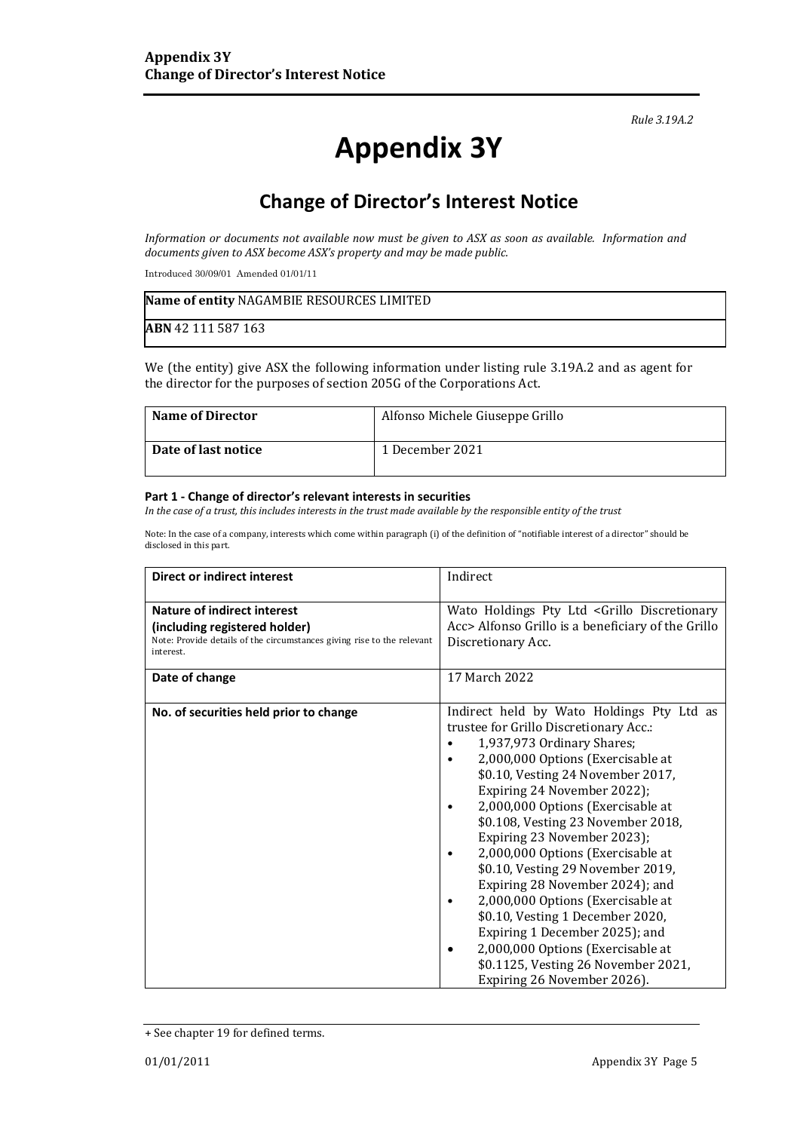*Rule 3.19A.2*

# **Appendix 3Y**

# **Change of Director's Interest Notice**

*Information or documents not available now must be given to ASX as soon as available. Information and documents given to ASX become ASX's property and may be made public.*

Introduced 30/09/01 Amended 01/01/11

| Name of entity NAGAMBIE RESOURCES LIMITED |  |
|-------------------------------------------|--|
| <b>ABN</b> 42 111 587 163                 |  |

We (the entity) give ASX the following information under listing rule 3.19A.2 and as agent for the director for the purposes of section 205G of the Corporations Act.

| <b>Name of Director</b> | Alfonso Michele Giuseppe Grillo |
|-------------------------|---------------------------------|
| Date of last notice     | 1 December 2021                 |

#### **Part 1 - Change of director's relevant interests in securities**

*In the case of a trust, this includes interests in the trust made available by the responsible entity of the trust*

Note: In the case of a company, interests which come within paragraph (i) of the definition of "notifiable interest of a director" should be disclosed in this part.

| <b>Direct or indirect interest</b>                                                                                                                                    | Indirect                                                                                                                                                                                                                                                                                                                                                                                                                                                                                                                                                                                                                                                                          |
|-----------------------------------------------------------------------------------------------------------------------------------------------------------------------|-----------------------------------------------------------------------------------------------------------------------------------------------------------------------------------------------------------------------------------------------------------------------------------------------------------------------------------------------------------------------------------------------------------------------------------------------------------------------------------------------------------------------------------------------------------------------------------------------------------------------------------------------------------------------------------|
| Nature of indirect interest<br>(including registered holder)<br>Note: Provide details of the circumstances giving rise to the relevant<br>interest.<br>Date of change | Wato Holdings Pty Ltd <grillo discretionary<br="">Acc&gt; Alfonso Grillo is a beneficiary of the Grillo<br/>Discretionary Acc.<br/>17 March 2022</grillo>                                                                                                                                                                                                                                                                                                                                                                                                                                                                                                                         |
|                                                                                                                                                                       |                                                                                                                                                                                                                                                                                                                                                                                                                                                                                                                                                                                                                                                                                   |
| No. of securities held prior to change                                                                                                                                | Indirect held by Wato Holdings Pty Ltd as<br>trustee for Grillo Discretionary Acc.:<br>1,937,973 Ordinary Shares;<br>2,000,000 Options (Exercisable at<br>\$0.10, Vesting 24 November 2017,<br>Expiring 24 November 2022);<br>2,000,000 Options (Exercisable at<br>\$0.108, Vesting 23 November 2018,<br>Expiring 23 November 2023);<br>2,000,000 Options (Exercisable at<br>٠<br>\$0.10, Vesting 29 November 2019,<br>Expiring 28 November 2024); and<br>2,000,000 Options (Exercisable at<br>\$0.10, Vesting 1 December 2020,<br>Expiring 1 December 2025); and<br>2,000,000 Options (Exercisable at<br>٠<br>\$0.1125, Vesting 26 November 2021,<br>Expiring 26 November 2026). |

<sup>+</sup> See chapter 19 for defined terms.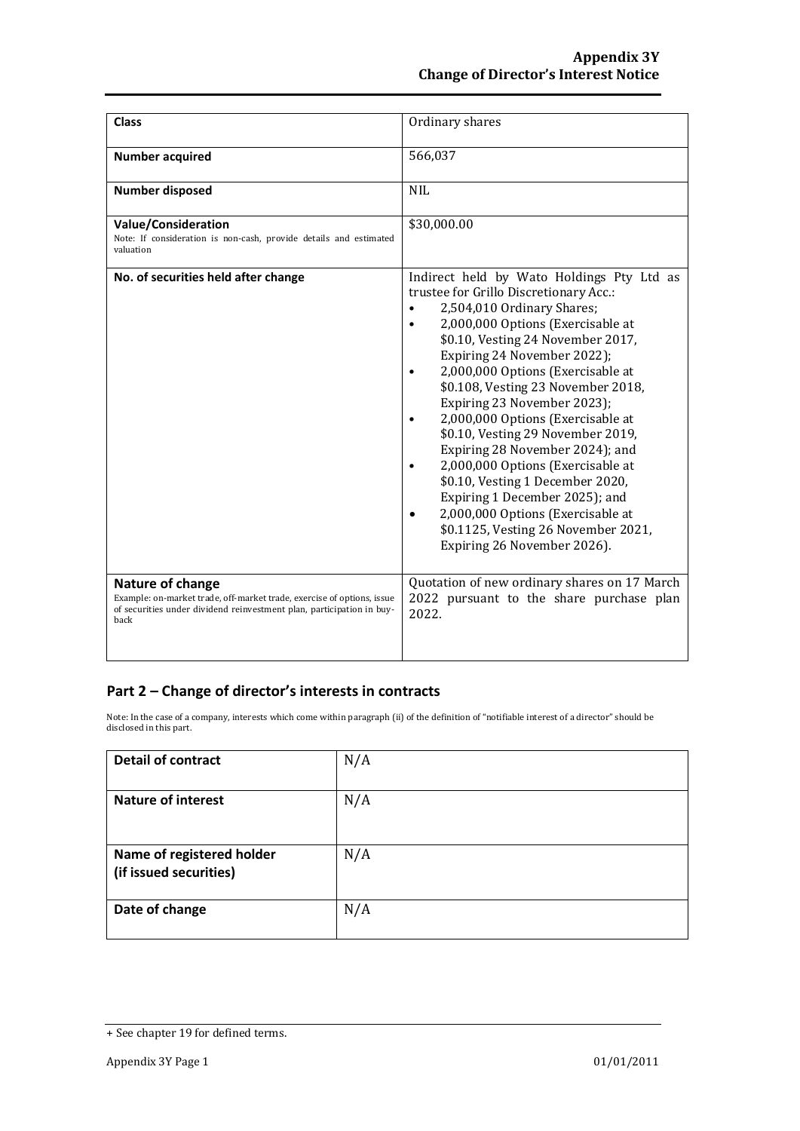| <b>Class</b>                                                                                                                                                                | Ordinary shares                                                                                                                                                                                                                                                                                                                                                                                                                                                                                                                                                                                                                                                         |
|-----------------------------------------------------------------------------------------------------------------------------------------------------------------------------|-------------------------------------------------------------------------------------------------------------------------------------------------------------------------------------------------------------------------------------------------------------------------------------------------------------------------------------------------------------------------------------------------------------------------------------------------------------------------------------------------------------------------------------------------------------------------------------------------------------------------------------------------------------------------|
| <b>Number acquired</b>                                                                                                                                                      | 566,037                                                                                                                                                                                                                                                                                                                                                                                                                                                                                                                                                                                                                                                                 |
| <b>Number disposed</b>                                                                                                                                                      | <b>NIL</b>                                                                                                                                                                                                                                                                                                                                                                                                                                                                                                                                                                                                                                                              |
| Value/Consideration<br>Note: If consideration is non-cash, provide details and estimated<br>valuation                                                                       | \$30,000.00                                                                                                                                                                                                                                                                                                                                                                                                                                                                                                                                                                                                                                                             |
| No. of securities held after change                                                                                                                                         | Indirect held by Wato Holdings Pty Ltd as<br>trustee for Grillo Discretionary Acc.:<br>2,504,010 Ordinary Shares;<br>2,000,000 Options (Exercisable at<br>\$0.10, Vesting 24 November 2017,<br>Expiring 24 November 2022);<br>2,000,000 Options (Exercisable at<br>\$0.108, Vesting 23 November 2018,<br>Expiring 23 November 2023);<br>2,000,000 Options (Exercisable at<br>\$0.10, Vesting 29 November 2019,<br>Expiring 28 November 2024); and<br>2,000,000 Options (Exercisable at<br>\$0.10, Vesting 1 December 2020,<br>Expiring 1 December 2025); and<br>2,000,000 Options (Exercisable at<br>\$0.1125, Vesting 26 November 2021,<br>Expiring 26 November 2026). |
| Nature of change<br>Example: on-market trade, off-market trade, exercise of options, issue<br>of securities under dividend reinvestment plan, participation in buy-<br>back | Quotation of new ordinary shares on 17 March<br>2022 pursuant to the share purchase plan<br>2022.                                                                                                                                                                                                                                                                                                                                                                                                                                                                                                                                                                       |

### **Part 2 – Change of director's interests in contracts**

Note: In the case of a company, interests which come within paragraph (ii) of the definition of "notifiable interest of a director" should be disclosed in this part.

| <b>Detail of contract</b>                           | N/A |
|-----------------------------------------------------|-----|
| <b>Nature of interest</b>                           | N/A |
| Name of registered holder<br>(if issued securities) | N/A |
| Date of change                                      | N/A |

<sup>+</sup> See chapter 19 for defined terms.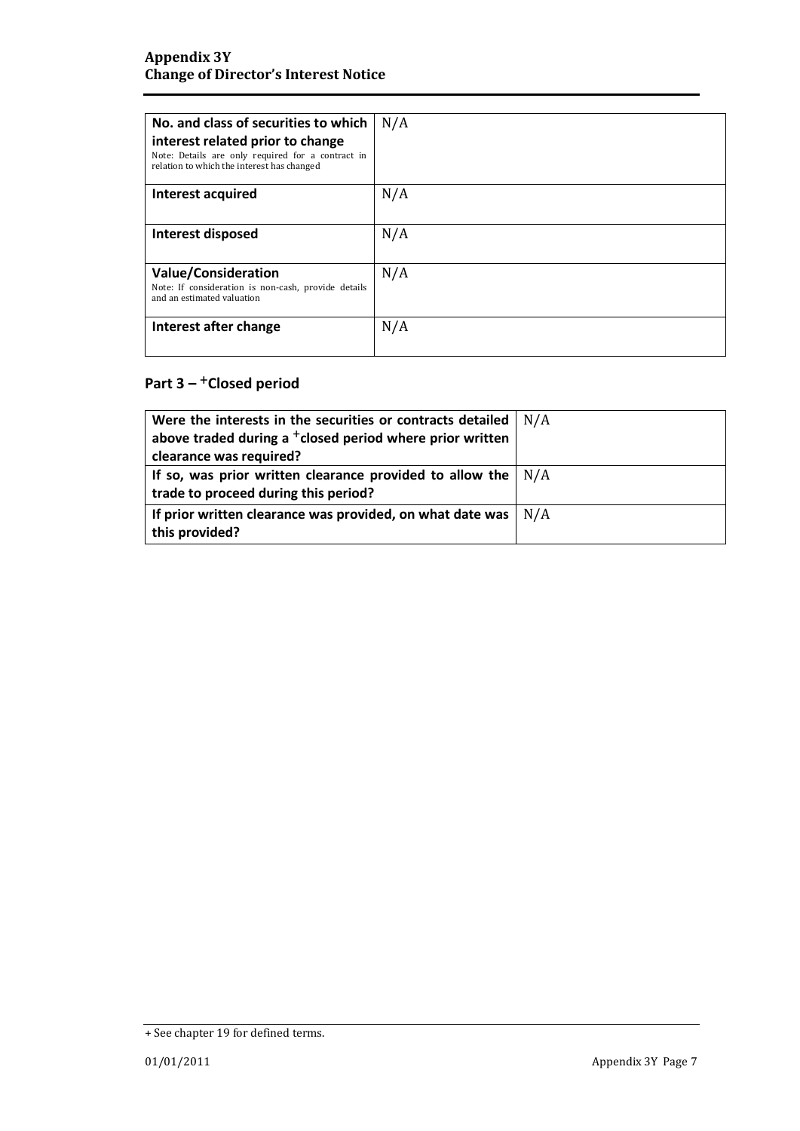| No. and class of securities to which<br>interest related prior to change<br>Note: Details are only required for a contract in<br>relation to which the interest has changed | N/A |
|-----------------------------------------------------------------------------------------------------------------------------------------------------------------------------|-----|
| Interest acquired                                                                                                                                                           | N/A |
| Interest disposed                                                                                                                                                           | N/A |
| <b>Value/Consideration</b><br>Note: If consideration is non-cash, provide details<br>and an estimated valuation                                                             | N/A |
| Interest after change                                                                                                                                                       | N/A |

## **Part 3 –** +**Closed period**

| Were the interests in the securities or contracts detailed           | N/A |
|----------------------------------------------------------------------|-----|
| above traded during a <sup>+</sup> closed period where prior written |     |
| clearance was required?                                              |     |
| If so, was prior written clearance provided to allow the $\vert$ N/A |     |
| trade to proceed during this period?                                 |     |
| If prior written clearance was provided, on what date was            | N/A |
| this provided?                                                       |     |

<sup>+</sup> See chapter 19 for defined terms.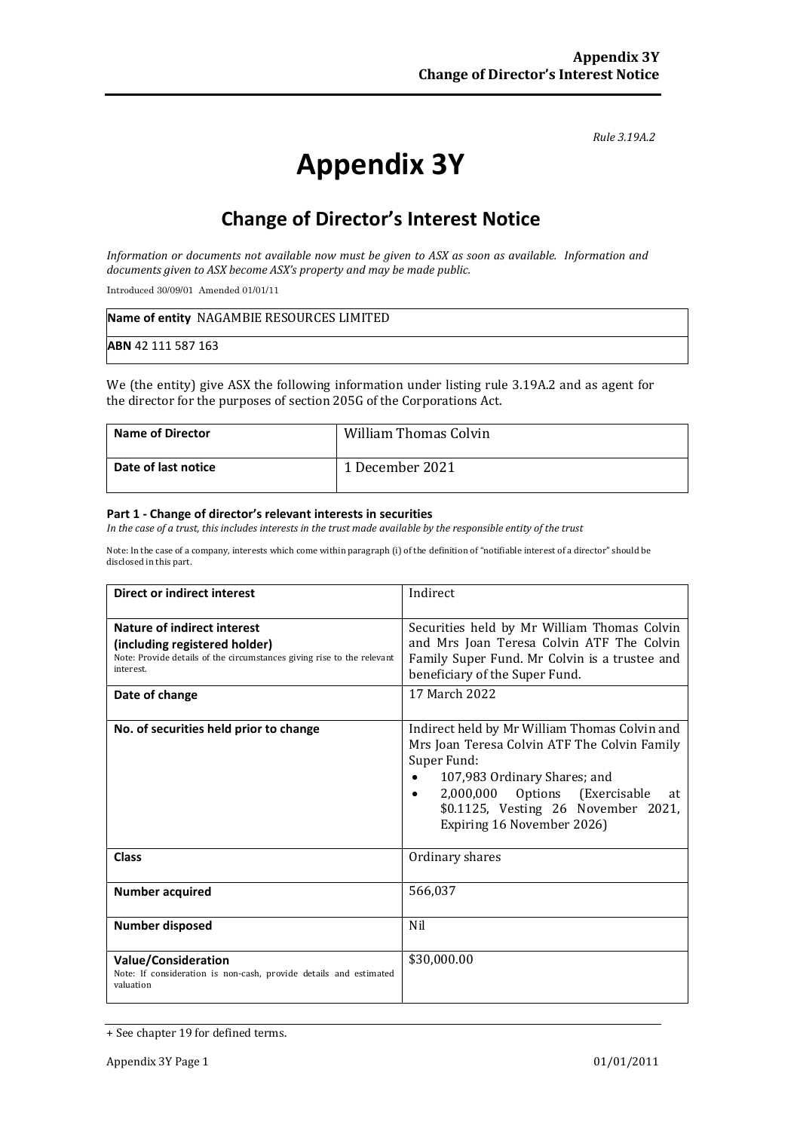*Rule 3.19A.2*

# **Appendix 3Y**

# **Change of Director's Interest Notice**

*Information or documents not available now must be given to ASX as soon as available. Information and documents given to ASX become ASX's property and may be made public.*

Introduced 30/09/01 Amended 01/01/11

| Name of entity NAGAMBIE RESOURCES LIMITED |  |
|-------------------------------------------|--|
| ABN 42 111 587 163                        |  |

We (the entity) give ASX the following information under listing rule 3.19A.2 and as agent for the director for the purposes of section 205G of the Corporations Act.

| <b>Name of Director</b> | <b>William Thomas Colvin</b> |
|-------------------------|------------------------------|
| Date of last notice     | 1 December 2021              |

#### **Part 1 - Change of director's relevant interests in securities**

*In the case of a trust, this includes interests in the trust made available by the responsible entity of the trust*

Note: In the case of a company, interests which come within paragraph (i) of the definition of "notifiable interest of a director" should be disclosed in this part.

| Direct or indirect interest                                                                                                                                | Indirect                                                                                                                                                                                                                                                  |  |
|------------------------------------------------------------------------------------------------------------------------------------------------------------|-----------------------------------------------------------------------------------------------------------------------------------------------------------------------------------------------------------------------------------------------------------|--|
| <b>Nature of indirect interest</b><br>(including registered holder)<br>Note: Provide details of the circumstances giving rise to the relevant<br>interest. | Securities held by Mr William Thomas Colvin<br>and Mrs Joan Teresa Colvin ATF The Colvin<br>Family Super Fund. Mr Colvin is a trustee and<br>beneficiary of the Super Fund.                                                                               |  |
| Date of change                                                                                                                                             | 17 March 2022                                                                                                                                                                                                                                             |  |
| No. of securities held prior to change                                                                                                                     | Indirect held by Mr William Thomas Colvin and<br>Mrs Joan Teresa Colvin ATF The Colvin Family<br>Super Fund:<br>107,983 Ordinary Shares; and<br>2,000,000 Options (Exercisable<br>at<br>\$0.1125, Vesting 26 November 2021,<br>Expiring 16 November 2026) |  |
| <b>Class</b>                                                                                                                                               | Ordinary shares                                                                                                                                                                                                                                           |  |
| <b>Number acquired</b>                                                                                                                                     | 566,037                                                                                                                                                                                                                                                   |  |
| <b>Number disposed</b>                                                                                                                                     | Nil                                                                                                                                                                                                                                                       |  |
| <b>Value/Consideration</b><br>Note: If consideration is non-cash, provide details and estimated<br>valuation                                               | \$30,000.00                                                                                                                                                                                                                                               |  |

<sup>+</sup> See chapter 19 for defined terms.